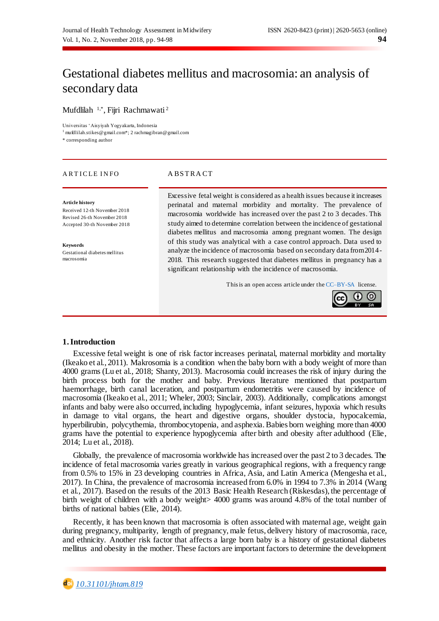# Gestational diabetes mellitus and macrosomia: an analysis of secondary data

Mufdlilah 1,\* , Fijri Rachmawati <sup>2</sup>

Universitas 'Aisyiyah Yogyakarta, Indonesia

<sup>1</sup> [mufdlilah.stikes@gmail.com\\*](mailto:mufdlilah.stikes@gmail.com); [2 rachmagibran@gmail.com](mailto:rachmagibran@gmail.com)

\* corresponding author

#### ARTICLE INFO ABSTRACT

#### **Article history**

Received 12-th November 2018 Revised 26-th November 2018 Accepted 30-th November 2018

**Keywords** Gestational diabetes mellitus macrosomia

Excessive fetal weight is considered as a health issues because it increases perinatal and maternal morbidity and mortality. The prevalence of macrosomia worldwide has increased over the past 2 to 3 decades. This study aimed to determine correlation between the incidence of gestational diabetes mellitus and macrosomia among pregnant women. The design of this study was analytical with a case control approach. Data used to analyze the incidence of macrosomia based on secondary data from 2014- 2018. This research suggested that diabetes mellitus in pregnancy has a significant relationship with the incidence of macrosomia.

This is an open access article under th[e CC–BY-SA](http://creativecommons.org/licenses/by-sa/4.0/) license.



#### **1.Introduction**

Excessive fetal weight is one of risk factor increases perinatal, maternal morbidity and mortality (Ikeako et al., 2011). Makrosomia is a condition when the baby born with a body weight of more than 4000 grams (Lu et al., 2018; Shanty, 2013). Macrosomia could increases the risk of injury during the birth process both for the mother and baby. Previous literature mentioned that postpartum haemorrhage, birth canal laceration, and postpartum endometritis were caused by incidence of macrosomia (Ikeako et al., 2011; Wheler, 2003; Sinclair, 2003). Additionally, complications amongst infants and baby were also occurred, including hypoglycemia, infant seizures, hypoxia which results in damage to vital organs, the heart and digestive organs, shoulder dystocia, hypocalcemia, hyperbilirubin, polycythemia, thrombocytopenia, and asphexia. Babies born weighing more than 4000 grams have the potential to experience hypoglycemia after birth and obesity after adulthood (Elie, 2014; Lu et al., 2018).

Globally, the prevalence of macrosomia worldwide has increased over the past 2 to 3 decades. The incidence of fetal macrosomia varies greatly in various geographical regions, with a frequency range from 0.5% to 15% in 23 developing countries in Africa, Asia, and Latin America (Mengesha et al., 2017). In China, the prevalence of macrosomia increased from 6.0% in 1994 to 7.3% in 2014 (Wang et al., 2017). Based on the results of the 2013 Basic Health Research (Riskesdas), the percentage of birth weight of children with a body weight> 4000 grams was around 4.8% of the total number of births of national babies (Elie, 2014).

Recently, it has been known that macrosomia is often associated with maternal age, weight gain during pregnancy, multiparity, length of pregnancy, male fetus, delivery history of macrosomia, race, and ethnicity. Another risk factor that affects a large born baby is a history of gestational diabetes mellitus and obesity in the mother. These factors are important factors to determine the development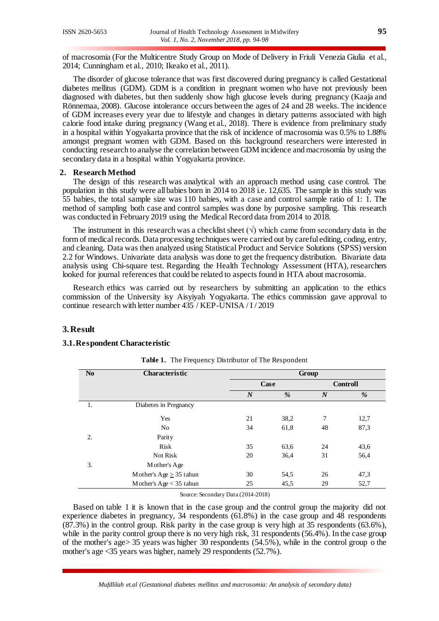of macrosomia (For the Multicentre Study Group on Mode of Delivery in Friuli Venezia Giulia et al., 2014; Cunningham et al., 2010; Ikeako et al., 2011).

The disorder of glucose tolerance that was first discovered during pregnancy is called Gestational diabetes mellitus (GDM). GDM is a condition in pregnant women who have not previously been diagnosed with diabetes, but then suddenly show high glucose levels during pregnancy (Kaaja and Rönnemaa, 2008). Glucose intolerance occurs between the ages of 24 and 28 weeks. The incidence of GDM increases every year due to lifestyle and changes in dietary patterns associated with high calorie food intake during pregnancy (Wang et al., 2018). There is evidence from preliminary study in a hospital within Yogyakarta province that the risk of incidence of macrosomia was 0.5% to 1.88% amongst pregnant women with GDM. Based on this background researchers were interested in conducting research to analyse the correlation between GDM incidence and macrosomia by using the secondary data in a hospital within Yogyakarta province.

### **2. Research Method**

The design of this research was analytical with an approach method using case control. The population in this study were all babies born in 2014 to 2018 i.e. 12,635. The sample in this study was 55 babies, the total sample size was 110 babies, with a case and control sample ratio of 1: 1. The method of sampling both case and control samples was done by purposive sampling. This research was conducted in February 2019 using the Medical Record data from 2014 to 2018.

The instrument in this research was a checklist sheet  $(\sqrt{})$  which came from secondary data in the form of medical records. Data processing techniques were carried out by careful editing, coding, entry, and cleaning. Data was then analyzed using Statistical Product and Service Solutions (SPSS) version 2.2 for Windows. Univariate data analysis was done to get the frequency distribution. Bivariate data analysis using Chi-square test. Regarding the Health Technology Assessment (HTA), researchers looked for journal references that could be related to aspects found in HTA about macrosomia.

Research ethics was carried out by researchers by submitting an application to the ethics commission of the University isy Aisyiyah Yogyakarta. The ethics commission gave approval to continue research with letter number 435 / KEP-UNISA / I / 2019

#### **3.Result**

#### **3.1.Respondent Characteristic**

| N <sub>0</sub> | Characteristic               | Group            |      |                  |      |  |
|----------------|------------------------------|------------------|------|------------------|------|--|
|                |                              | Case             |      | <b>Controll</b>  |      |  |
|                |                              | $\boldsymbol{N}$ | %    | $\boldsymbol{N}$ | %    |  |
| 1.             | Diabetes in Pregnancy        |                  |      |                  |      |  |
|                | Yes                          | 21               | 38,2 | 7                | 12,7 |  |
|                | No                           | 34               | 61,8 | 48               | 87,3 |  |
| 2.             | Parity                       |                  |      |                  |      |  |
|                | Risk                         | 35               | 63,6 | 24               | 43,6 |  |
|                | Not Risk                     | 20               | 36,4 | 31               | 56,4 |  |
| 3.             | Mother's Age                 |                  |      |                  |      |  |
|                | Mother's Age $\geq$ 35 tahun | 30               | 54,5 | 26               | 47,3 |  |
|                | Mother's Age $<$ 35 tahun    | 25               | 45,5 | 29               | 52,7 |  |

**Table 1.** The Frequency Distributor of The Respondent

Source: Secondary Data (2014-2018)

Based on table 1 it is known that in the case group and the control group the majority did not experience diabetes in pregnancy, 34 respondents (61.8%) in the case group and 48 respondents (87.3%) in the control group. Risk parity in the case group is very high at 35 respondents (63.6%), while in the parity control group there is no very high risk, 31 respondents (56.4%). In the case group of the mother's age> 35 years was higher 30 respondents (54.5%), while in the control group o the mother's age <35 years was higher, namely 29 respondents (52.7%).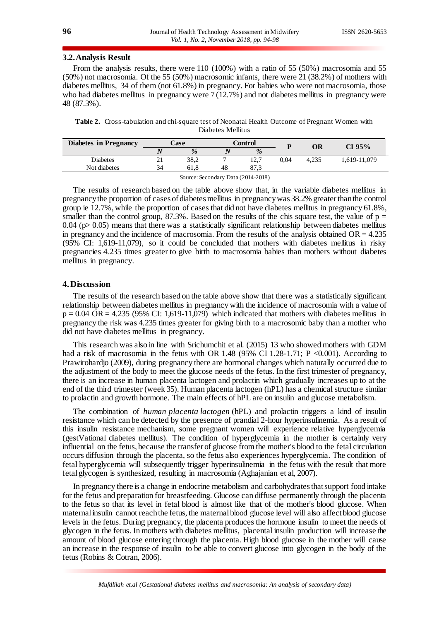#### **3.2.Analysis Result**

From the analysis results, there were 110 (100%) with a ratio of 55 (50%) macrosomia and 55 (50%) not macrosomia. Of the 55 (50%) macrosomic infants, there were 21 (38.2%) of mothers with diabetes mellitus, 34 of them (not 61.8%) in pregnancy. For babies who were not macrosomia, those who had diabetes mellitus in pregnancy were 7 (12.7%) and not diabetes mellitus in pregnancy were 48 (87.3%).

**Table 2.** Cross-tabulation and chi-square test of Neonatal Health Outcome of Pregnant Women with Diabetes Mellitus

| Diabetes in Pregnancy                                                       | Case |      | Control |            |      | ОR    | CI 95%       |
|-----------------------------------------------------------------------------|------|------|---------|------------|------|-------|--------------|
|                                                                             |      | %    |         | %          |      |       |              |
| Diabetes                                                                    | 21   | 38,2 |         | ر ۱<br>⊥∠. | 0.04 | 4.235 | 1,619-11,079 |
| Not diabetes                                                                | 34   | 61.8 | 48      | 87.3       |      |       |              |
| $\sim$ $\sim$ $\sim$ $\sim$ $\sim$ $\sim$ $\sim$ $\sim$<br>$\sim$<br>$\sim$ |      |      |         |            |      |       |              |

Source: Secondary Data (2014-2018)

The results of research based on the table above show that, in the variable diabetes mellitus in pregnancy the proportion of cases of diabetes mellitus in pregnancy was 38.2% greater than the control group ie 12.7%, while the proportion of cases that did not have diabetes mellitus in pregnancy 61.8%, smaller than the control group, 87.3%. Based on the results of the chis square test, the value of  $p =$  $0.04$  (p $> 0.05$ ) means that there was a statistically significant relationship between diabetes mellitus in pregnancy and the incidence of macrosomia. From the results of the analysis obtained  $OR = 4.235$ (95% CI: 1,619-11,079), so it could be concluded that mothers with diabetes mellitus in risky pregnancies 4.235 times greater to give birth to macrosomia babies than mothers without diabetes mellitus in pregnancy.

## **4.Discussion**

The results of the research based on the table above show that there was a statistically significant relationship between diabetes mellitus in pregnancy with the incidence of macrosomia with a value of  $p = 0.04$  OR = 4.235 (95% CI: 1,619-11,079) which indicated that mothers with diabetes mellitus in pregnancy the risk was 4.235 times greater for giving birth to a macrosomic baby than a mother who did not have diabetes mellitus in pregnancy.

This research was also in line with Srichumchit et al. (2015) 13 who showed mothers with GDM had a risk of macrosomia in the fetus with OR 1.48 (95% CI 1.28-1.71; P <0.001). According to Prawirohardjo (2009), during pregnancy there are hormonal changes which naturally occurred due to the adjustment of the body to meet the glucose needs of the fetus. In the first trimester of pregnancy, there is an increase in human placenta lactogen and prolactin which gradually increases up to at the end of the third trimester (week 35). Human placenta lactogen (hPL) has a chemical structure similar to prolactin and growth hormone. The main effects of hPL are on insulin and glucose metabolism.

The combination of *human placenta lactogen* (hPL) and prolactin triggers a kind of insulin resistance which can be detected by the presence of prandial 2-hour hyperinsulinemia. As a result of this insulin resistance mechanism, some pregnant women will experience relative hyperglycemia (gestVational diabetes mellitus). The condition of hyperglycemia in the mother is certainly very influential on the fetus, because the transfer of glucose from the mother's blood to the fetal circulation occurs diffusion through the placenta, so the fetus also experiences hyperglycemia. The condition of fetal hyperglycemia will subsequently trigger hyperinsulinemia in the fetus with the result that more fetal glycogen is synthesized, resulting in macrosomia (Aghajanian et al, 2007).

In pregnancy there is a change in endocrine metabolism and carbohydrates that support food intake for the fetus and preparation for breastfeeding. Glucose can diffuse permanently through the placenta to the fetus so that its level in fetal blood is almost like that of the mother's blood glucose. When maternal insulin cannot reach the fetus, the maternal blood glucose level will also affect blood glucose levels in the fetus. During pregnancy, the placenta produces the hormone insulin to meet the needs of glycogen in the fetus. In mothers with diabetes mellitus, placental insulin production will increase the amount of blood glucose entering through the placenta. High blood glucose in the mother will cause an increase in the response of insulin to be able to convert glucose into glycogen in the body of the fetus (Robins & Cotran, 2006).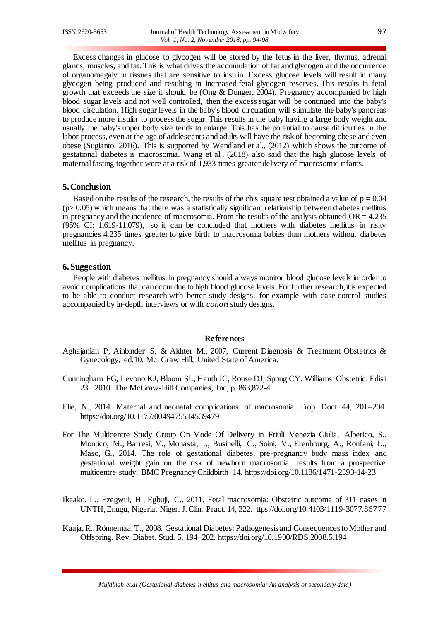Excess changes in glucose to glycogen will be stored by the fetus in the liver, thymus, adrenal glands, muscles, and fat. This is what drives the accumulation of fat and glycogen and the occurrence of organomegaly in tissues that are sensitive to insulin. Excess glucose levels will result in many glycogen being produced and resulting in increased fetal glycogen reserves. This results in fetal growth that exceeds the size it should be (Ong & Dunger, 2004). Pregnancy accompanied by high blood sugar levels and not well controlled, then the excess sugar will be continued into the baby's blood circulation. High sugar levels in the baby's blood circulation will stimulate the baby's pancreas to produce more insulin to process the sugar. This results in the baby having a large body weight and usually the baby's upper body size tends to enlarge. This has the potential to cause difficulties in the labor process, even at the age of adolescents and adults will have the risk of becoming obese and even obese (Sugianto, 2016). This is supported by Wendland et al., (2012) which shows the outcome of gestational diabetes is macrosomia. Wang et al., (2018) also said that the high glucose levels of maternal fasting together were at a risk of 1,933 times greater delivery of macrosomic infants.

#### **5.Conclusion**

Based on the results of the research, the results of the chis square test obtained a value of  $p = 0.04$  $(p> 0.05)$  which means that there was a statistically significant relationship between diabetes mellitus in pregnancy and the incidence of macrosomia. From the results of the analysis obtained  $OR = 4.235$ (95% CI: 1,619-11,079), so it can be concluded that mothers with diabetes mellitus in risky pregnancies 4.235 times greater to give birth to macrosomia babies than mothers without diabetes mellitus in pregnancy.

#### **6.Suggestion**

People with diabetes mellitus in pregnancy should always monitor blood glucose levels in order to avoid complications that can occur due to high blood glucose levels. For further research, it is expected to be able to conduct research with better study designs, for example with case control studies accompanied by in-depth interviews or with *cohort* study designs.

#### **References**

- Aghajanian P, Ainbinder S, & Akhter M., 2007, Current Diagnosis & Treatment Obstetrics & Gynecology, ed.10, Mc. Graw Hill, United State of America.
- Cunningham FG, Levono KJ, Bloom SL, Hauth JC, Rouse DJ, Spong CY. Williams Obstetric. Edisi 23. 2010. The McGraw-Hill Companies, Inc, p. 863,872-4.
- Elie, N., 2014. Maternal and neonatal complications of macrosomia. Trop. Doct. 44, 201–204. https://doi.org/10.1177/0049475514539479
- For The Multicentre Study Group On Mode Of Delivery in Friuli Venezia Giulia, Alberico, S., Montico, M., Barresi, V., Monasta, L., Businelli, C., Soini, V., Erenbourg, A., Ronfani, L., Maso, G., 2014. The role of gestational diabetes, pre-pregnancy body mass index and gestational weight gain on the risk of newborn macrosomia: results from a prospective multicentre study. BMC Pregnancy Childbirth 14. https://doi.org/10.1186/1471-2393-14-23
- Ikeako, L., Ezegwui, H., Egbuji, C., 2011. Fetal macrosomia: Obstetric outcome of 311 cases in UNTH, Enugu, Nigeria. Niger. J. Clin. Pract. 14, 322. ttps://doi.org/10.4103/1119-3077.86777
- Kaaja, R., Rönnemaa, T., 2008. Gestational Diabetes: Pathogenesis and Consequences to Mother and Offspring. Rev. Diabet. Stud. 5, 194–202. https://doi.org/10.1900/RDS.2008.5.194